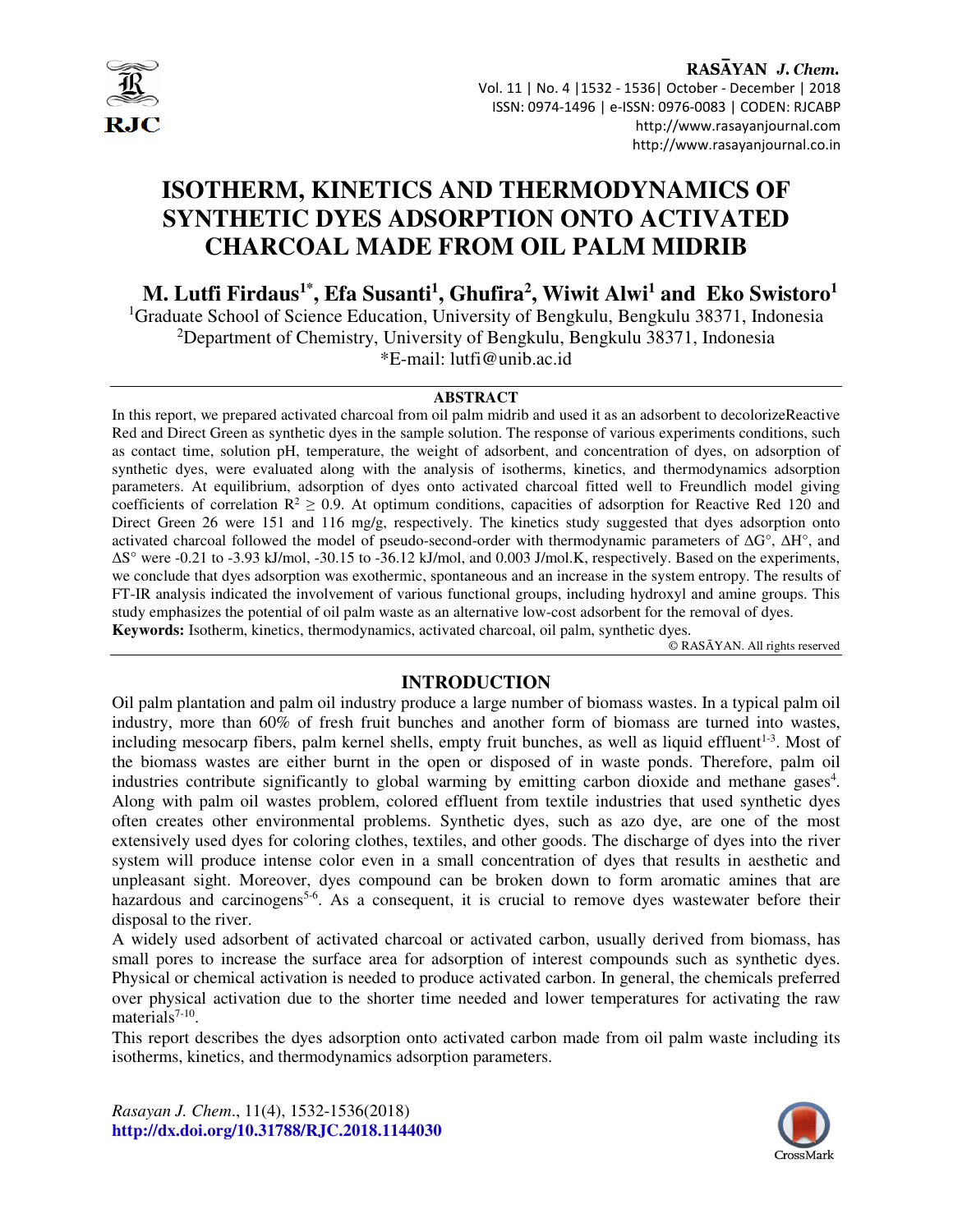

RASAYAN J. Chem. Vol. 11 | No. 4 |1532 - 1536| October - December | 2018 ISSN: 0974-1496 | e-ISSN: 0976-0083 | CODEN: RJCABP http://www.rasayanjournal.com http://www.rasayanjournal.co.in

# **ISOTHERM, KINETICS AND THERMODYNAMICS OF SYNTHETIC DYES ADSORPTION ONTO ACTIVATED CHARCOAL MADE FROM OIL PALM MIDRIB**

**M. Lutfi Firdaus1\*, Efa Susanti<sup>1</sup> , Ghufira<sup>2</sup> , Wiwit Alwi<sup>1</sup> and Eko Swistoro<sup>1</sup>**

<sup>1</sup>Graduate School of Science Education, University of Bengkulu, Bengkulu 38371, Indonesia <sup>2</sup>Department of Chemistry, University of Bengkulu, Bengkulu 38371, Indonesia \*E-mail: lutfi@unib.ac.id

### **ABSTRACT**

In this report, we prepared activated charcoal from oil palm midrib and used it as an adsorbent to decolorizeReactive Red and Direct Green as synthetic dyes in the sample solution. The response of various experiments conditions, such as contact time, solution pH, temperature, the weight of adsorbent, and concentration of dyes, on adsorption of synthetic dyes, were evaluated along with the analysis of isotherms, kinetics, and thermodynamics adsorption parameters. At equilibrium, adsorption of dyes onto activated charcoal fitted well to Freundlich model giving coefficients of correlation  $R^2 \ge 0.9$ . At optimum conditions, capacities of adsorption for Reactive Red 120 and Direct Green 26 were 151 and 116 mg/g, respectively. The kinetics study suggested that dyes adsorption onto activated charcoal followed the model of pseudo-second-order with thermodynamic parameters of ∆G°, ∆H°, and ∆S° were -0.21 to -3.93 kJ/mol, -30.15 to -36.12 kJ/mol, and 0.003 J/mol.K, respectively. Based on the experiments, we conclude that dyes adsorption was exothermic, spontaneous and an increase in the system entropy. The results of FT-IR analysis indicated the involvement of various functional groups, including hydroxyl and amine groups. This study emphasizes the potential of oil palm waste as an alternative low-cost adsorbent for the removal of dyes. **Keywords:** Isotherm, kinetics, thermodynamics, activated charcoal, oil palm, synthetic dyes.

© RASĀYAN. All rights reserved

## **INTRODUCTION**

Oil palm plantation and palm oil industry produce a large number of biomass wastes. In a typical palm oil industry, more than 60% of fresh fruit bunches and another form of biomass are turned into wastes, including mesocarp fibers, palm kernel shells, empty fruit bunches, as well as liquid effluent $1-3$ . Most of the biomass wastes are either burnt in the open or disposed of in waste ponds. Therefore, palm oil industries contribute significantly to global warming by emitting carbon dioxide and methane gases<sup>4</sup>. Along with palm oil wastes problem, colored effluent from textile industries that used synthetic dyes often creates other environmental problems. Synthetic dyes, such as azo dye, are one of the most extensively used dyes for coloring clothes, textiles, and other goods. The discharge of dyes into the river system will produce intense color even in a small concentration of dyes that results in aesthetic and unpleasant sight. Moreover, dyes compound can be broken down to form aromatic amines that are hazardous and carcinogens<sup>5-6</sup>. As a consequent, it is crucial to remove dyes wastewater before their disposal to the river.

A widely used adsorbent of activated charcoal or activated carbon, usually derived from biomass, has small pores to increase the surface area for adsorption of interest compounds such as synthetic dyes. Physical or chemical activation is needed to produce activated carbon. In general, the chemicals preferred over physical activation due to the shorter time needed and lower temperatures for activating the raw materials<sup>7-10</sup>.

This report describes the dyes adsorption onto activated carbon made from oil palm waste including its isotherms, kinetics, and thermodynamics adsorption parameters.

*Rasayan J. Chem*., 11(4), 1532-1536(2018) **http://dx.doi.org/10.31788/RJC.2018.1144030**

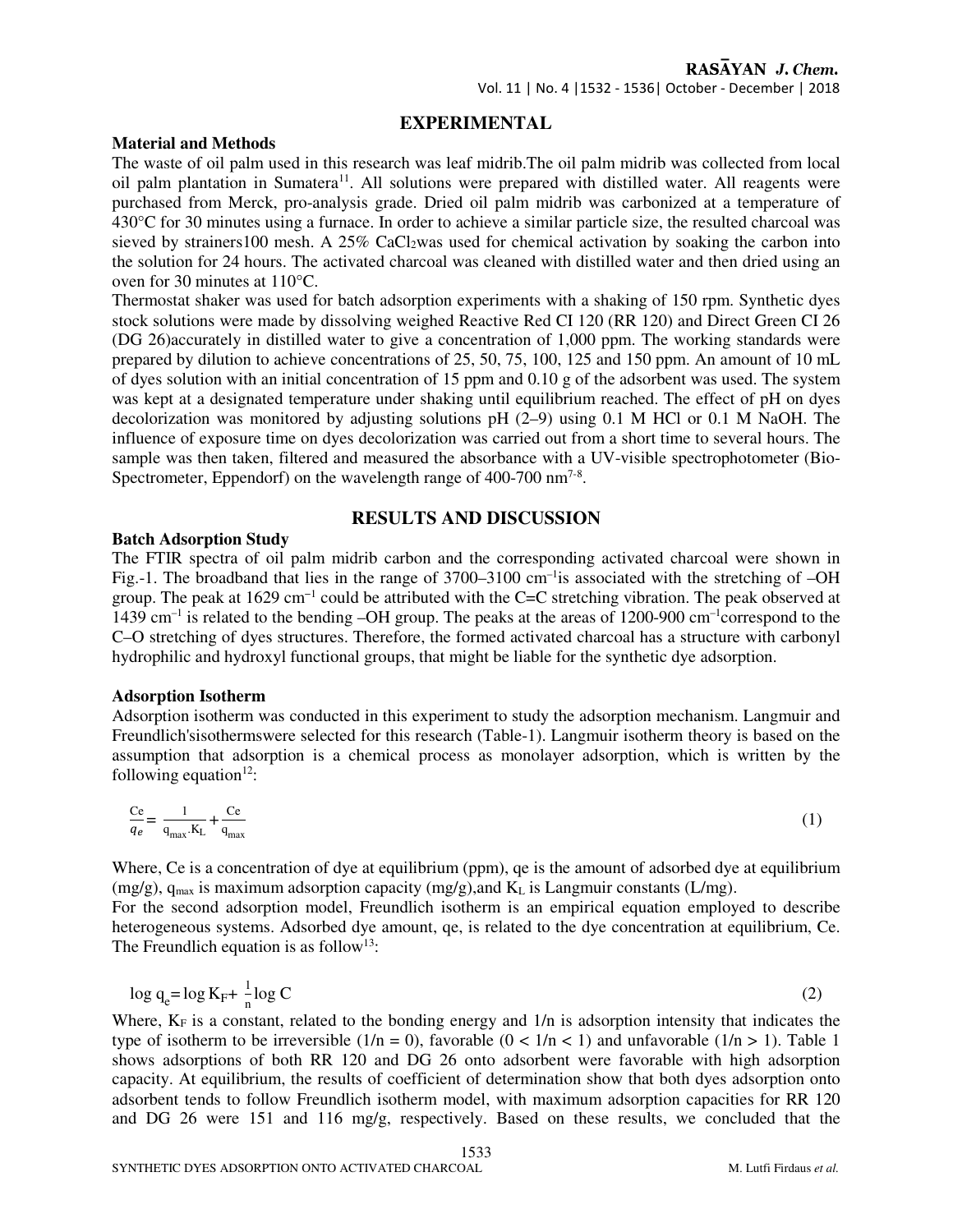Vol. 11 | No. 4 |1532 - 1536| October - December | 2018

## **EXPERIMENTAL**

#### **Material and Methods**

The waste of oil palm used in this research was leaf midrib.The oil palm midrib was collected from local oil palm plantation in Sumatera<sup>11</sup>. All solutions were prepared with distilled water. All reagents were purchased from Merck, pro-analysis grade. Dried oil palm midrib was carbonized at a temperature of 430°C for 30 minutes using a furnace. In order to achieve a similar particle size, the resulted charcoal was sieved by strainers100 mesh. A 25% CaCl2was used for chemical activation by soaking the carbon into the solution for 24 hours. The activated charcoal was cleaned with distilled water and then dried using an oven for 30 minutes at 110°C.

Thermostat shaker was used for batch adsorption experiments with a shaking of 150 rpm. Synthetic dyes stock solutions were made by dissolving weighed Reactive Red CI 120 (RR 120) and Direct Green CI 26 (DG 26)accurately in distilled water to give a concentration of 1,000 ppm. The working standards were prepared by dilution to achieve concentrations of 25, 50, 75, 100, 125 and 150 ppm. An amount of 10 mL of dyes solution with an initial concentration of 15 ppm and 0.10 g of the adsorbent was used. The system was kept at a designated temperature under shaking until equilibrium reached. The effect of pH on dyes decolorization was monitored by adjusting solutions  $pH$  (2–9) using 0.1 M HCl or 0.1 M NaOH. The influence of exposure time on dyes decolorization was carried out from a short time to several hours. The sample was then taken, filtered and measured the absorbance with a UV-visible spectrophotometer (Bio-Spectrometer, Eppendorf) on the wavelength range of  $400-700$  nm<sup>7-8</sup>.

## **RESULTS AND DISCUSSION**

## **Batch Adsorption Study**

The FTIR spectra of oil palm midrib carbon and the corresponding activated charcoal were shown in Fig.-1. The broadband that lies in the range of  $3700-3100$  cm<sup>-1</sup> is associated with the stretching of  $-OH$ group. The peak at 1629 cm−1 could be attributed with the C=C stretching vibration. The peak observed at 1439 cm–1 is related to the bending –OH group. The peaks at the areas of 1200-900 cm–1correspond to the C–O stretching of dyes structures. Therefore, the formed activated charcoal has a structure with carbonyl hydrophilic and hydroxyl functional groups, that might be liable for the synthetic dye adsorption.

## **Adsorption Isotherm**

Adsorption isotherm was conducted in this experiment to study the adsorption mechanism. Langmuir and Freundlich'sisothermswere selected for this research (Table-1). Langmuir isotherm theory is based on the assumption that adsorption is a chemical process as monolayer adsorption, which is written by the following equation $12$ :

$$
\frac{Ce}{q_e} = \frac{1}{q_{\text{max}}.K_L} + \frac{Ce}{q_{\text{max}}}
$$
(1)

Where, Ce is a concentration of dye at equilibrium (ppm), qe is the amount of adsorbed dye at equilibrium  $(mg/g)$ ,  $q_{max}$  is maximum adsorption capacity  $(mg/g)$ , and  $K<sub>L</sub>$  is Langmuir constants (L/mg).

For the second adsorption model, Freundlich isotherm is an empirical equation employed to describe heterogeneous systems. Adsorbed dye amount, qe, is related to the dye concentration at equilibrium, Ce. The Freundlich equation is as follow<sup>13</sup>:

$$
\log q_e = \log K_F + \frac{1}{n} \log C \tag{2}
$$

Where,  $K_F$  is a constant, related to the bonding energy and  $1/n$  is adsorption intensity that indicates the type of isotherm to be irreversible  $(1/n = 0)$ , favorable  $(0 < 1/n < 1)$  and unfavorable  $(1/n > 1)$ . Table 1 shows adsorptions of both RR 120 and DG 26 onto adsorbent were favorable with high adsorption capacity. At equilibrium, the results of coefficient of determination show that both dyes adsorption onto adsorbent tends to follow Freundlich isotherm model, with maximum adsorption capacities for RR 120 and DG 26 were 151 and 116 mg/g, respectively. Based on these results, we concluded that the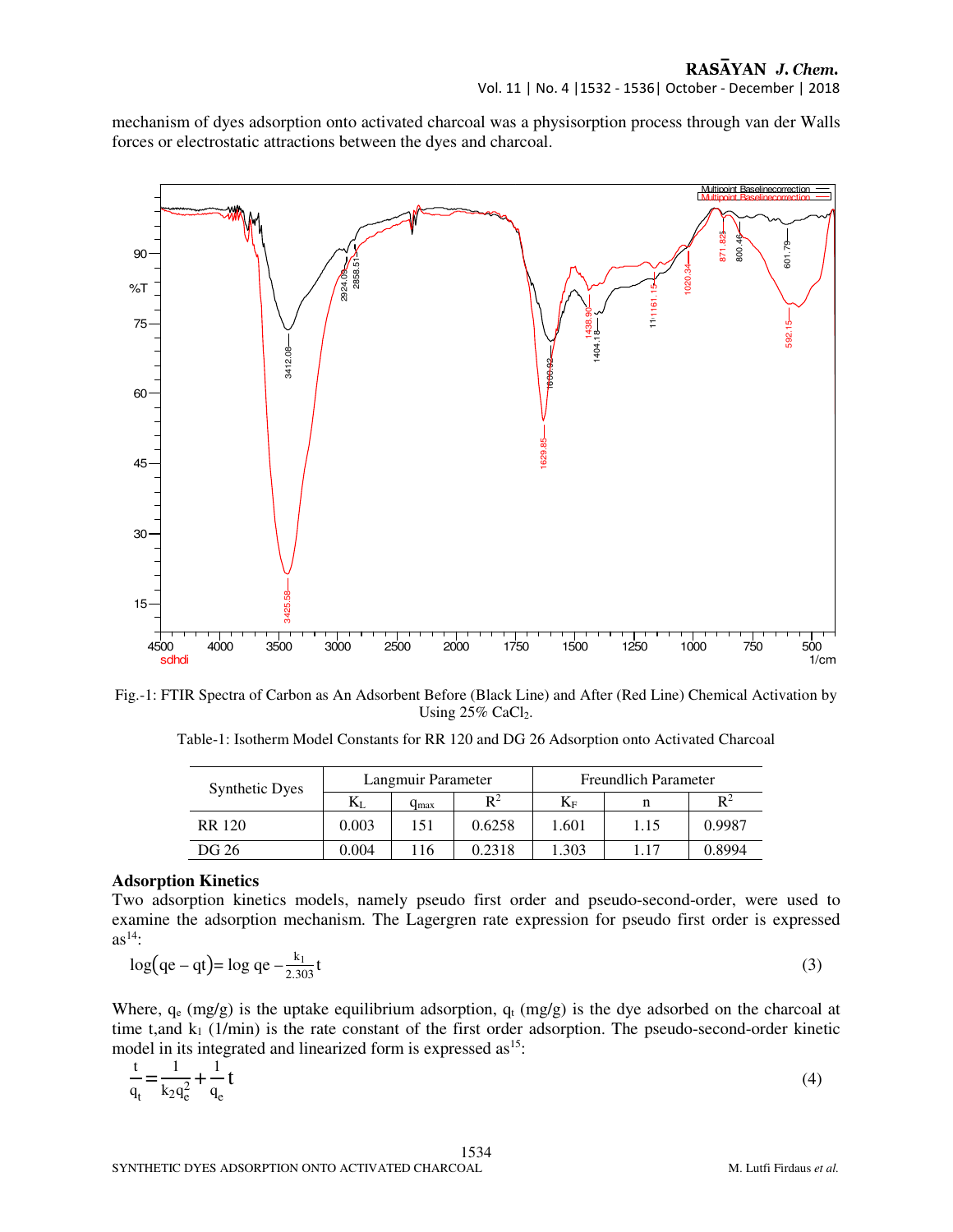mechanism of dyes adsorption onto activated charcoal was a physisorption process through van der Walls forces or electrostatic attractions between the dyes and charcoal.



Fig.-1: FTIR Spectra of Carbon as An Adsorbent Before (Black Line) and After (Red Line) Chemical Activation by Using  $25\%$  CaCl<sub>2</sub>.

Table-1: Isotherm Model Constants for RR 120 and DG 26 Adsorption onto Activated Charcoal

| <b>Synthetic Dyes</b> | Langmuir Parameter |           |                | <b>Freundlich Parameter</b> |      |                |
|-----------------------|--------------------|-----------|----------------|-----------------------------|------|----------------|
|                       | NJ.                | $q_{max}$ | $\mathbb{R}^2$ | $K_{\rm F}$                 |      | $\mathbb{R}^2$ |
| <b>RR</b> 120         | 0.003              | 151       | 0.6258         | 1.601                       | 1.15 | 0.9987         |
| DG 26                 | 0.004              | -16       | 0.2318         | 1.303                       | ī.17 | 0.8994         |

#### **Adsorption Kinetics**

Two adsorption kinetics models, namely pseudo first order and pseudo-second-order, were used to examine the adsorption mechanism. The Lagergren rate expression for pseudo first order is expressed  $as^{14}$ :

$$
\log(qe - qt) = \log qe - \frac{k_1}{2.303}t\tag{3}
$$

Where,  $q_e$  (mg/g) is the uptake equilibrium adsorption,  $q_t$  (mg/g) is the dye adsorbed on the charcoal at time t,and  $k_1$  (1/min) is the rate constant of the first order adsorption. The pseudo-second-order kinetic model in its integrated and linearized form is expressed  $\text{as}^{15}$ :

$$
\frac{t}{q_t} = \frac{1}{k_2 q_e^2} + \frac{1}{q_e} t \tag{4}
$$

1534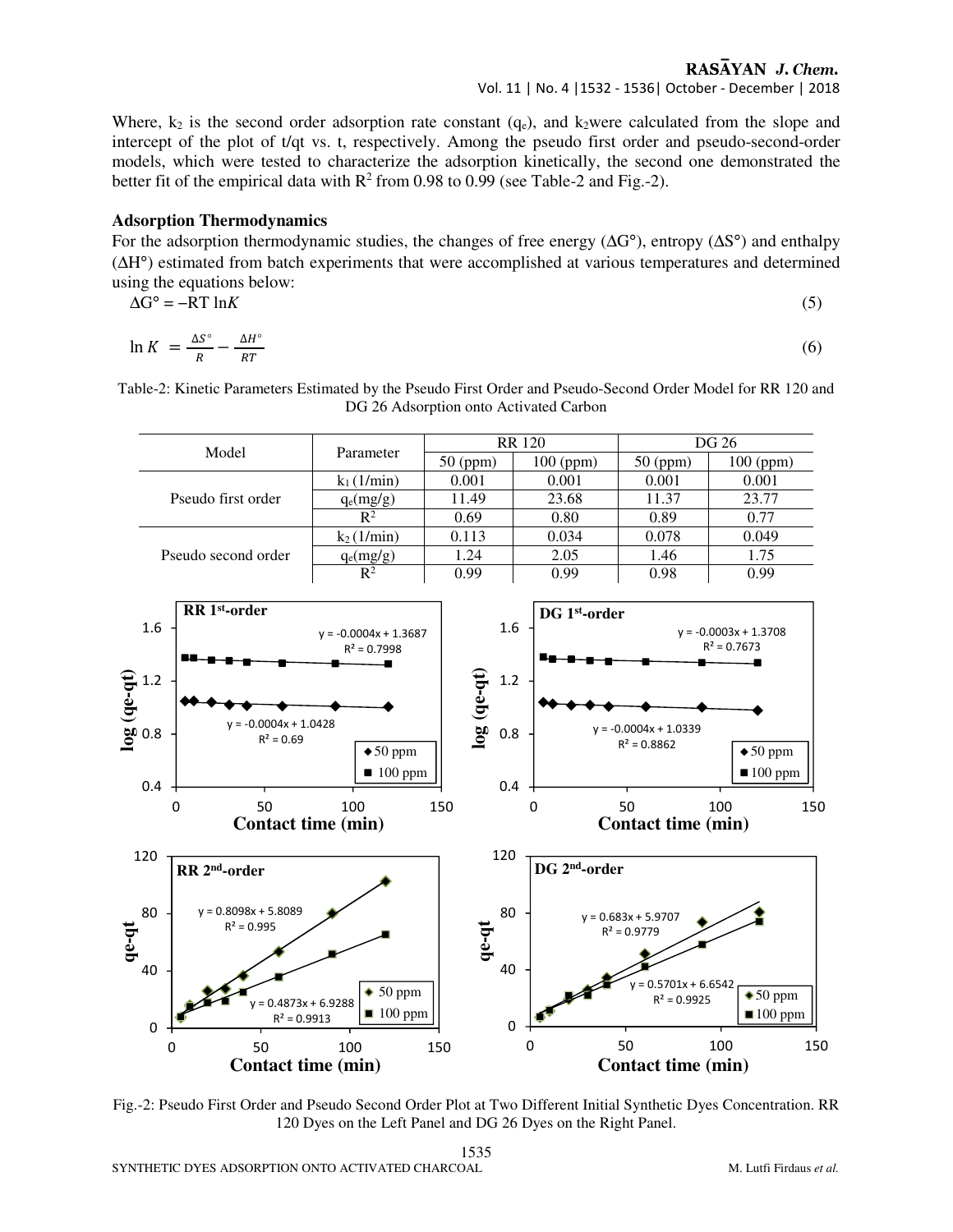## RASAYAN J. Chem.

#### Vol. 11 | No. 4 |1532 - 1536| October - December | 2018

Where,  $k_2$  is the second order adsorption rate constant  $(q_e)$ , and  $k_2$ were calculated from the slope and intercept of the plot of t/qt vs. t, respectively. Among the pseudo first order and pseudo-second-order models, which were tested to characterize the adsorption kinetically, the second one demonstrated the better fit of the empirical data with  $R^2$  from 0.98 to 0.99 (see Table-2 and Fig.-2).

#### **Adsorption Thermodynamics**

For the adsorption thermodynamic studies, the changes of free energy (∆G°), entropy (∆S°) and enthalpy (∆H°) estimated from batch experiments that were accomplished at various temperatures and determined using the equations below:

$$
\Delta G^{\circ} = -RT \ln K \tag{5}
$$

$$
\ln K = \frac{\Delta S^{\circ}}{R} - \frac{\Delta H^{\circ}}{RT} \tag{6}
$$

Table-2: Kinetic Parameters Estimated by the Pseudo First Order and Pseudo-Second Order Model for RR 120 and DG 26 Adsorption onto Activated Carbon

| Model               | Parameter           |            | <b>RR</b> 120 | DG 26      |             |
|---------------------|---------------------|------------|---------------|------------|-------------|
|                     |                     | $50$ (ppm) | $100$ (ppm)   | $50$ (ppm) | $100$ (ppm) |
| Pseudo first order  | $k_1(1/\text{min})$ | 0.001      | 0.001         | 0.001      | 0.001       |
|                     | $q_e(mg/g)$         | 11.49      | 23.68         | 11.37      | 23.77       |
|                     | $\mathbb{R}^2$      | 0.69       | 0.80          | 0.89       | 0.77        |
| Pseudo second order | $k_2(1/\text{min})$ | 0.113      | 0.034         | 0.078      | 0.049       |
|                     | $q_e(mg/g)$         | 1.24       | 2.05          | 1.46       | 1.75        |
|                     | $\mathbb{R}^2$      | 0.99       | 0.99          | 0.98       | 0.99        |



Fig.-2: Pseudo First Order and Pseudo Second Order Plot at Two Different Initial Synthetic Dyes Concentration. RR 120 Dyes on the Left Panel and DG 26 Dyes on the Right Panel.

1535 SYNTHETIC DYES ADSORPTION ONTO ACTIVATED CHARCOAL **METAL METAL METAL METAL METAL METAL** M. Lutfi Firdaus *et al.*